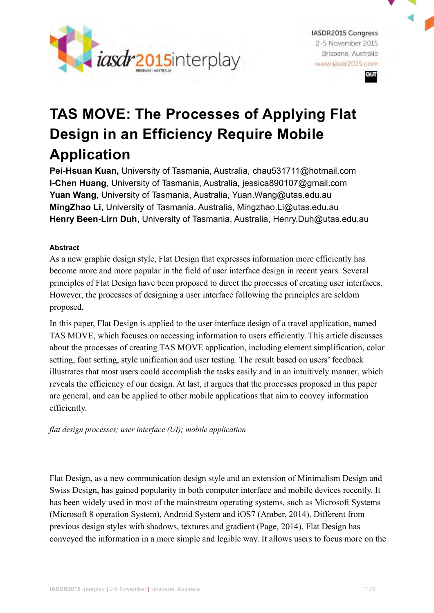

**IASDR2015 Congress** 2-5 November 2015 Brisbane Australia www.jasdr2015.com eιπ

# **TAS MOVE: The Processes of Applying Flat Design in an Efficiency Require Mobile Application**

**Pei-Hsuan Kuan,** University of Tasmania, Australia, chau531711@hotmail.com **I-Chen Huang**, University of Tasmania, Australia, jessica890107@gmail.com **Yuan Wang**, University of Tasmania, Australia, Yuan.Wang@utas.edu.au **MingZhao Li**, University of Tasmania, Australia, Mingzhao.Li@utas.edu.au **Henry Been-Lirn Duh**, University of Tasmania, Australia, Henry.Duh@utas.edu.au

# **Abstract**

As a new graphic design style, Flat Design that expresses information more efficiently has become more and more popular in the field of user interface design in recent years. Several principles of Flat Design have been proposed to direct the processes of creating user interfaces. However, the processes of designing a user interface following the principles are seldom proposed.

In this paper, Flat Design is applied to the user interface design of a travel application, named TAS MOVE, which focuses on accessing information to users efficiently. This article discusses about the processes of creating TAS MOVE application, including element simplification, color setting, font setting, style unification and user testing. The result based on users' feedback illustrates that most users could accomplish the tasks easily and in an intuitively manner, which reveals the efficiency of our design. At last, it argues that the processes proposed in this paper are general, and can be applied to other mobile applications that aim to convey information efficiently.

*flat design processes; user interface (UI); mobile application*

Flat Design, as a new communication design style and an extension of Minimalism Design and Swiss Design, has gained popularity in both computer interface and mobile devices recently. It has been widely used in most of the mainstream operating systems, such as Microsoft Systems (Microsoft 8 operation System), Android System and iOS7 (Amber, 2014). Different from previous design styles with shadows, textures and gradient (Page, 2014), Flat Design has conveyed the information in a more simple and legible way. It allows users to focus more on the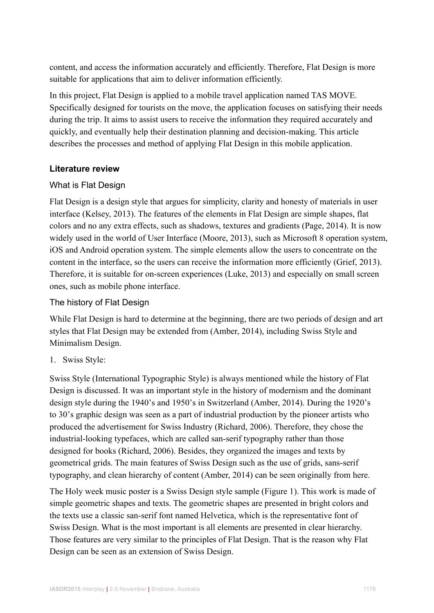content, and access the information accurately and efficiently. Therefore, Flat Design is more suitable for applications that aim to deliver information efficiently.

In this project, Flat Design is applied to a mobile travel application named TAS MOVE. Specifically designed for tourists on the move, the application focuses on satisfying their needs during the trip. It aims to assist users to receive the information they required accurately and quickly, and eventually help their destination planning and decision-making. This article describes the processes and method of applying Flat Design in this mobile application.

# **Literature review**

# What is Flat Design

Flat Design is a design style that argues for simplicity, clarity and honesty of materials in user interface (Kelsey, 2013). The features of the elements in Flat Design are simple shapes, flat colors and no any extra effects, such as shadows, textures and gradients (Page, 2014). It is now widely used in the world of User Interface (Moore, 2013), such as Microsoft 8 operation system, iOS and Android operation system. The simple elements allow the users to concentrate on the content in the interface, so the users can receive the information more efficiently (Grief, 2013). Therefore, it is suitable for on-screen experiences (Luke, 2013) and especially on small screen ones, such as mobile phone interface.

# The history of Flat Design

While Flat Design is hard to determine at the beginning, there are two periods of design and art styles that Flat Design may be extended from (Amber, 2014), including Swiss Style and Minimalism Design.

1. Swiss Style:

Swiss Style (International Typographic Style) is always mentioned while the history of Flat Design is discussed. It was an important style in the history of modernism and the dominant design style during the 1940's and 1950's in Switzerland (Amber, 2014). During the 1920's to 30's graphic design was seen as a part of industrial production by the pioneer artists who produced the advertisement for Swiss Industry (Richard, 2006). Therefore, they chose the industrial-looking typefaces, which are called san-serif typography rather than those designed for books (Richard, 2006). Besides, they organized the images and texts by geometrical grids. The main features of Swiss Design such as the use of grids, sans-serif typography, and clean hierarchy of content (Amber, 2014) can be seen originally from here.

The Holy week music poster is a Swiss Design style sample (Figure 1). This work is made of simple geometric shapes and texts. The geometric shapes are presented in bright colors and the texts use a classic san-serif font named Helvetica, which is the representative font of Swiss Design. What is the most important is all elements are presented in clear hierarchy. Those features are very similar to the principles of Flat Design. That is the reason why Flat Design can be seen as an extension of Swiss Design.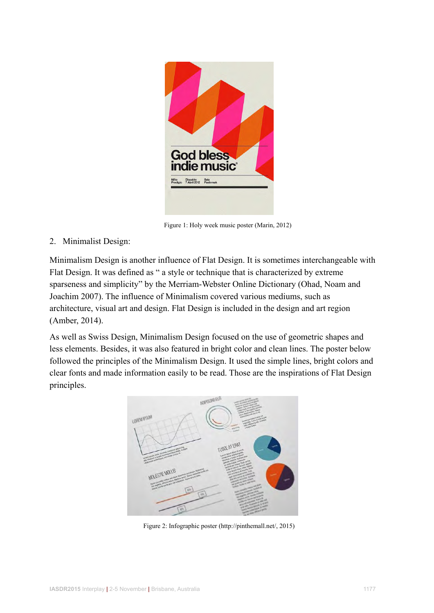

Figure 1: Holy week music poster (Marin, 2012)

2. Minimalist Design:

Minimalism Design is another influence of Flat Design. It is sometimes interchangeable with Flat Design. It was defined as " a style or technique that is characterized by extreme sparseness and simplicity" by the Merriam-Webster Online Dictionary (Ohad, Noam and Joachim 2007). The influence of [Minimalism](http://en.wikipedia.org/wiki/Minimalism#Minimalist_design) covered various mediums, such as architecture, visual art and design. Flat Design is included in the design and art region (Amber, 2014).

As well as Swiss Design, Minimalism Design focused on the use of geometric shapes and less elements. Besides, it was also featured in bright color and clean lines. The poster below followed the principles of the Minimalism Design. It used the simple lines, bright colors and clear fonts and made information easily to be read. Those are the inspirations of Flat Design principles.



Figure 2: Infographic poster (http://pinthemall.net/, 2015)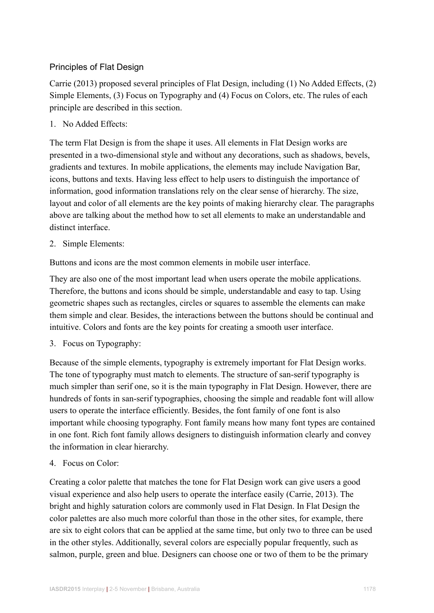# Principles of Flat Design

Carrie (2013) proposed several principles of Flat Design, including (1) No Added Effects, (2) Simple Elements, (3) Focus on Typography and (4) Focus on Colors, etc. The rules of each principle are described in this section.

1. No Added Effects:

The term Flat Design is from the shape it uses. All elements in Flat Design works are presented in a two-dimensional style and without any decorations, such as shadows, bevels, gradients and textures. In mobile applications, the elements may include Navigation Bar, icons, buttons and texts. Having less effect to help users to distinguish the importance of information, good information translations rely on the clear sense of hierarchy. The size, layout and color of all elements are the key points of making hierarchy clear. The paragraphs above are talking about the method how to set all elements to make an understandable and distinct interface.

2. Simple Elements:

Buttons and icons are the most common elements in mobile user interface.

They are also one of the most important lead when users operate the mobile applications. Therefore, the buttons and icons should be simple, understandable and easy to tap. Using geometric shapes such as rectangles, circles or squares to assemble the elements can make them simple and clear. Besides, the interactions between the buttons should be continual and intuitive. Colors and fonts are the key points for creating a smooth user interface.

3. Focus on Typography:

Because of the simple elements, typography is extremely important for Flat Design works. The tone of typography must match to elements. The structure of san-serif typography is much simpler than serif one, so it is the main typography in Flat Design. However, there are hundreds of fonts in san-serif typographies, choosing the simple and readable font will allow users to operate the interface efficiently. Besides, the font family of one font is also important while choosing typography. Font family means how many font types are contained in one font. Rich font family allows designers to distinguish information clearly and convey the information in clear hierarchy.

4. Focus on Color:

Creating a color palette that matches the tone for Flat Design work can give users a good visual experience and also help users to operate the interface easily (Carrie, 2013). The bright and highly saturation colors are commonly used in Flat Design. In Flat Design the color palettes are also much more colorful than those in the other sites, for example, there are six to eight colors that can be applied at the same time, but only two to three can be used in the other styles. Additionally, several colors are especially popular frequently, such as salmon, purple, green and blue. Designers can choose one or two of them to be the primary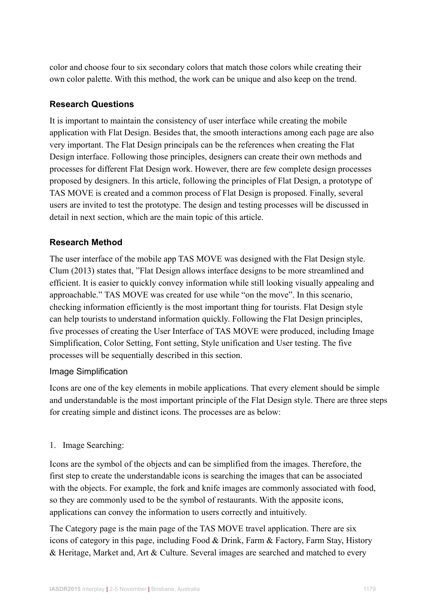color and choose four to six secondary colors that match those colors while creating their own color palette. With this method, the work can be unique and also keep on the trend.

# **Research Questions**

It is important to maintain the consistency of user interface while creating the mobile application with Flat Design. Besides that, the smooth interactions among each page are also very important. The Flat Design principals can be the references when creating the Flat Design interface. Following those principles, designers can create their own methods and processes for different Flat Design work. However, there are few complete design processes proposed by designers. In this article, following the principles of Flat Design, a prototype of TAS MOVE is created and a common process of Flat Design is proposed. Finally, several users are invited to test the prototype. The design and testing processes will be discussed in detail in next section, which are the main topic of this article.

# **Research Method**

The user interface of the mobile app TAS MOVE was designed with the Flat Design style. Clum (2013) states that, "Flat Design allows interface designs to be more streamlined and efficient. It is easier to quickly convey information while still looking visually appealing and approachable." TAS MOVE was created for use while "on the move". In this scenario, checking information efficiently is the most important thing for tourists. Flat Design style can help tourists to understand information quickly. Following the Flat Design principles, five processes of creating the User Interface of TAS MOVE were produced, including Image Simplification, Color Setting, Font setting, Style unification and User testing. The five processes will be sequentially described in this section.

# Image Simplification

Icons are one of the key elements in mobile applications. That every element should be simple and understandable is the most important principle of the Flat Design style. There are three steps for creating simple and distinct icons. The processes are as below:

# 1. Image Searching:

Icons are the symbol of the objects and can be simplified from the images. Therefore, the first step to create the understandable icons is searching the images that can be associated with the objects. For example, the fork and knife images are commonly associated with food, so they are commonly used to be the symbol of restaurants. With the apposite icons, applications can convey the information to users correctly and intuitively.

The Category page is the main page of the TAS MOVE travel application. There are six icons of category in this page, including Food & Drink, Farm & Factory, Farm Stay, History & Heritage, Market and, Art & Culture. Several images are searched and matched to every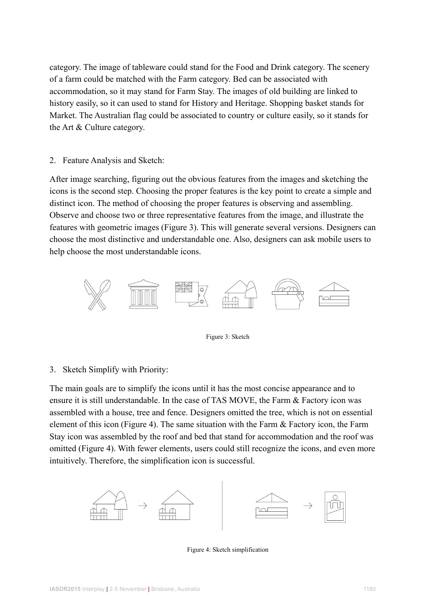category. The image of tableware could stand for the Food and Drink category. The scenery of a farm could be matched with the Farm category. Bed can be associated with accommodation, so it may stand for Farm Stay. The images of old building are linked to history easily, so it can used to stand for History and Heritage. Shopping basket stands for Market. The Australian flag could be associated to country or culture easily, so it stands for the Art & Culture category.

## 2. Feature Analysis and Sketch:

After image searching, figuring out the obvious features from the images and sketching the icons is the second step. Choosing the proper features is the key point to create a simple and distinct icon. The method of choosing the proper features is observing and assembling. Observe and choose two or three representative features from the image, and illustrate the features with geometric images (Figure 3). This will generate several versions. Designers can choose the most distinctive and understandable one. Also, designers can ask mobile users to help choose the most understandable icons.



Figure 3: Sketch

3. Sketch Simplify with Priority:

The main goals are to simplify the icons until it has the most concise appearance and to ensure it is still understandable. In the case of TAS MOVE, the Farm & Factory icon was assembled with a house, tree and fence. Designers omitted the tree, which is not on essential element of this icon (Figure 4). The same situation with the Farm  $\&$  Factory icon, the Farm Stay icon was assembled by the roof and bed that stand for accommodation and the roof was omitted (Figure 4). With fewer elements, users could still recognize the icons, and even more intuitively. Therefore, the simplification icon is successful.



Figure 4: Sketch simplification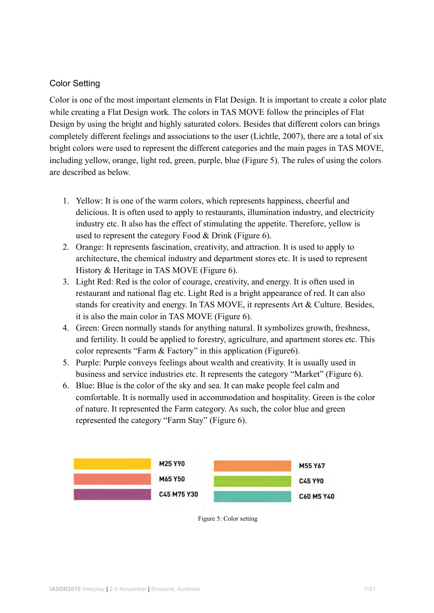# Color Setting

Color is one of the most important elements in Flat Design. It is important to create a color plate while creating a Flat Design work. The colors in TAS MOVE follow the principles of Flat Design by using the bright and highly saturated colors. Besides that different colors can brings completely different feelings and associations to the user (Lichtle, 2007), there are a total of six bright colors were used to represent the different categories and the main pages in TAS MOVE, including yellow, orange, light red, green, purple, blue (Figure 5). The rules of using the colors are described as below.

- 1. Yellow: It is one of the warm colors, which represents happiness, cheerful and delicious. It is often used to apply to restaurants, illumination industry, and electricity industry etc. It also has the effect of stimulating the appetite. Therefore, yellow is used to represent the category Food & Drink (Figure 6).
- 2. Orange: It represents fascination, creativity, and attraction. It is used to apply to architecture, the chemical industry and department stores etc. It is used to represent History & Heritage in TAS MOVE (Figure 6).
- 3. Light Red: Red is the color of courage, creativity, and energy. It is often used in restaurant and national flag etc. Light Red is a bright appearance of red. It can also stands for creativity and energy. In TAS MOVE, it represents Art & Culture. Besides, it is also the main color in TAS MOVE (Figure 6).
- 4. Green: Green normally stands for anything natural. It symbolizes growth, freshness, and fertility. It could be applied to forestry, agriculture, and apartment stores etc. This color represents "Farm & Factory" in this application (Figure6).
- 5. Purple: Purple conveys feelings about wealth and creativity. It is usually used in business and service industries etc. It represents the category "Market" (Figure 6).
- 6. Blue: Blue is the color of the sky and sea. It can make people feel calm and comfortable. It is normally used in accommodation and hospitality. Green is the color of nature. It represented the Farm category. As such, the color blue and green represented the category "Farm Stay" (Figure 6).



Figure 5: Color setting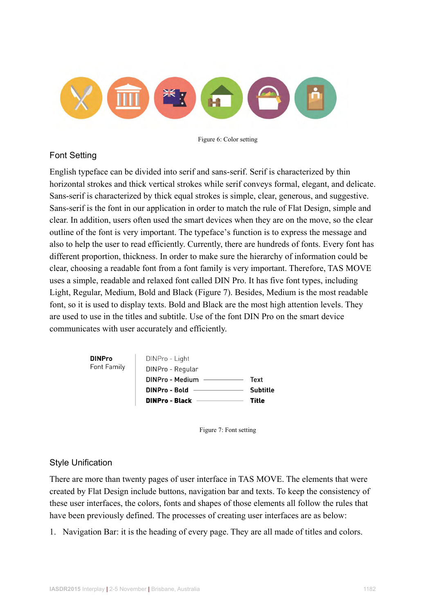

Figure 6: Color setting

# Font Setting

English typeface can be divided into serif and sans-serif. Serif is characterized by thin horizontal strokes and thick vertical strokes while serif conveys formal, elegant, and delicate. Sans-serif is characterized by thick equal strokes is simple, clear, generous, and suggestive. Sans-serif is the font in our application in order to match the rule of Flat Design, simple and clear. In addition, users often used the smart devices when they are on the move, so the clear outline of the font is very important. The typeface's function is to express the message and also to help the user to read efficiently. Currently, there are hundreds of fonts. Every font has different proportion, thickness. In order to make sure the hierarchy of information could be clear, choosing a readable font from a font family is very important. Therefore, TAS MOVE uses a simple, readable and relaxed font called DIN Pro. It has five font types, including Light, Regular, Medium, Bold and Black (Figure 7). Besides, Medium is the most readable font, so it is used to display texts. Bold and Black are the most high attention levels. They are used to use in the titles and subtitle. Use of the font DIN Pro on the smart device communicates with user accurately and efficiently.



Figure 7: Font setting

# Style Unification

There are more than twenty pages of user interface in TAS MOVE. The elements that were created by Flat Design include buttons, navigation bar and texts. To keep the consistency of these user interfaces, the colors, fonts and shapes of those elements all follow the rules that have been previously defined. The processes of creating user interfaces are as below:

1. Navigation Bar: it is the heading of every page. They are all made of titles and colors.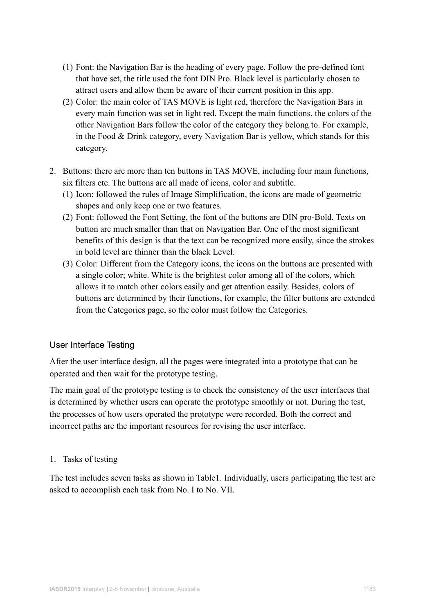- (1) Font: the Navigation Bar is the heading of every page. Follow the pre-defined font that have set, the title used the font DIN Pro. Black level is particularly chosen to attract users and allow them be aware of their current position in this app.
- (2) Color: the main color of TAS MOVE is light red, therefore the Navigation Bars in every main function was set in light red. Except the main functions, the colors of the other Navigation Bars follow the color of the category they belong to. For example, in the Food & Drink category, every Navigation Bar is yellow, which stands for this category.
- 2. Buttons: there are more than ten buttons in TAS MOVE, including four main functions, six filters etc. The buttons are all made of icons, color and subtitle.
	- (1) Icon: followed the rules of Image Simplification, the icons are made of geometric shapes and only keep one or two features.
	- (2) Font: followed the Font Setting, the font of the buttons are DIN pro-Bold. Texts on button are much smaller than that on Navigation Bar. One of the most significant benefits of this design is that the text can be recognized more easily, since the strokes in bold level are thinner than the black Level.
	- (3) Color: Different from the Category icons, the icons on the buttons are presented with a single color; white. White is the brightest color among all of the colors, which allows it to match other colors easily and get attention easily. Besides, colors of buttons are determined by their functions, for example, the filter buttons are extended from the Categories page, so the color must follow the Categories.

# User Interface Testing

After the user interface design, all the pages were integrated into a prototype that can be operated and then wait for the prototype testing.

The main goal of the prototype testing is to check the consistency of the user interfaces that is determined by whether users can operate the prototype smoothly or not. During the test, the processes of how users operated the prototype were recorded. Both the correct and incorrect paths are the important resources for revising the user interface.

# 1. Tasks of testing

The test includes seven tasks as shown in Table1. Individually, users participating the test are asked to accomplish each task from No. I to No. VII.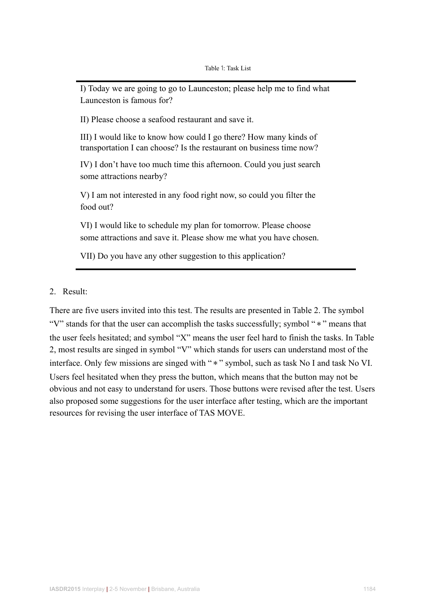I) Today we are going to go to Launceston; please help me to find what Launceston is famous for?

II) Please choose a seafood restaurant and save it.

III) I would like to know how could I go there? How many kinds of transportation I can choose? Is the restaurant on business time now?

IV) I don't have too much time this afternoon. Could you just search some attractions nearby?

V) I am not interested in any food right now, so could you filter the food out?

VI) I would like to schedule my plan for tomorrow. Please choose some attractions and save it. Please show me what you have chosen.

VII) Do you have any other suggestion to this application?

2. Result:

There are five users invited into this test. The results are presented in Table 2. The symbol "V" stands for that the user can accomplish the tasks successfully; symbol "\*" means that the user feels hesitated; and symbol "X" means the user feel hard to finish the tasks. In Table 2, most results are singed in symbol "V" which stands for users can understand most of the interface. Only few missions are singed with "\*" symbol, such as task No I and task No VI. Users feel hesitated when they press the button, which means that the button may not be obvious and not easy to understand for users. Those buttons were revised after the test. Users also proposed some suggestions for the user interface after testing, which are the important resources for revising the user interface of TAS MOVE.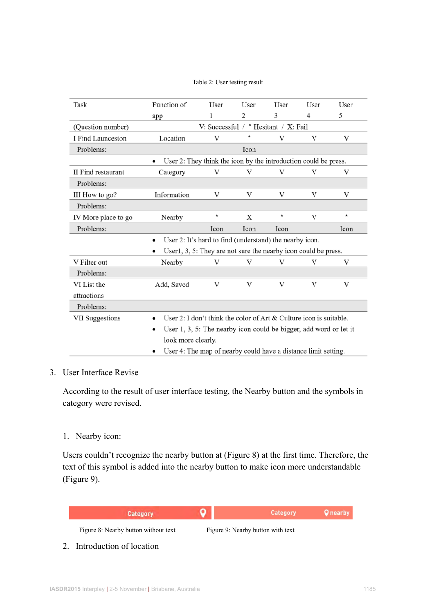#### Table 2: User testing result

| Task                | Function of                                                                       | User | User | User | User | User    |  |
|---------------------|-----------------------------------------------------------------------------------|------|------|------|------|---------|--|
|                     | app                                                                               | 1    | 2    | 3    | 4    | 5       |  |
| (Question number)   | V: Successful / $*$ Hesitant / X: Fail                                            |      |      |      |      |         |  |
| I Find Launceston   | Location                                                                          | V    | *    | V    | V    | V       |  |
| Problems:           | Icon                                                                              |      |      |      |      |         |  |
|                     | User 2: They think the icon by the introduction could be press.<br>$\bullet$      |      |      |      |      |         |  |
| II Find restaurant  | Category                                                                          | V    | V    | V    | V    | V       |  |
| Problems:           |                                                                                   |      |      |      |      |         |  |
| III How to go?      | Information                                                                       | V    | V    | V    | V    | V       |  |
| Problems:           |                                                                                   |      |      |      |      |         |  |
| IV More place to go | Nearby                                                                            | *    | Х    | *    | V    | $\star$ |  |
| Problems:           |                                                                                   | Icon | Icon | Icon |      | Icon    |  |
|                     | User 2: It's hard to find (understand) the nearby icon.                           |      |      |      |      |         |  |
|                     | User1, 3, 5: They are not sure the nearby icon could be press.                    |      |      |      |      |         |  |
| V Filter out        | Nearby                                                                            | V    | V    | V    | V    | V       |  |
| Problems:           |                                                                                   |      |      |      |      |         |  |
| VI List the         | Add, Saved                                                                        | V    | V    | V    | V    | V       |  |
| attractions         |                                                                                   |      |      |      |      |         |  |
| Problems:           |                                                                                   |      |      |      |      |         |  |
| VII Suggestions     | User 2: I don't think the color of Art $&$ Culture icon is suitable.<br>$\bullet$ |      |      |      |      |         |  |
|                     | User $1, 3, 5$ : The nearby icon could be bigger, add word or let it<br>٠         |      |      |      |      |         |  |
|                     | look more clearly.                                                                |      |      |      |      |         |  |
|                     | User 4: The map of nearby could have a distance limit setting.                    |      |      |      |      |         |  |

#### 3. User Interface Revise

According to the result of user interface testing, the Nearby button and the symbols in category were revised.

#### 1. Nearby icon:

Users couldn't recognize the nearby button at (Figure 8) at the first time. Therefore, the text of this symbol is added into the nearby button to make icon more understandable (Figure 9).



2. Introduction of location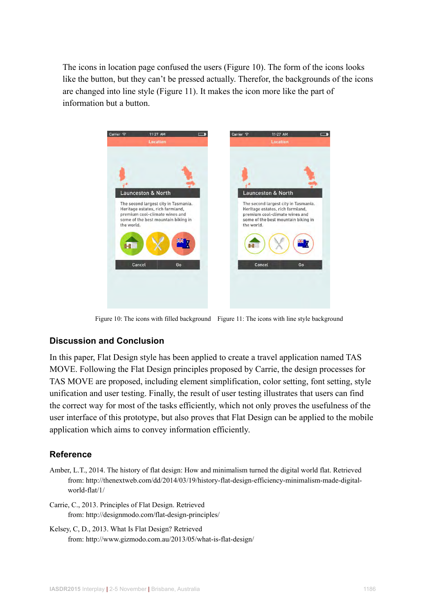The icons in location page confused the users (Figure 10). The form of the icons looks like the button, but they can't be pressed actually. Therefor, the backgrounds of the icons are changed into line style (Figure 11). It makes the icon more like the part of information but a button.



Figure 10: The icons with filled background Figure 11: The icons with line style background

# **Discussion and Conclusion**

In this paper, Flat Design style has been applied to create a travel application named TAS MOVE. Following the Flat Design principles proposed by Carrie, the design processes for TAS MOVE are proposed, including element simplification, color setting, font setting, style unification and user testing. Finally, the result of user testing illustrates that users can find the correct way for most of the tasks efficiently, which not only proves the usefulness of the user interface of this prototype, but also proves that Flat Design can be applied to the mobile application which aims to convey information efficiently.

# **Reference**

- Amber, L.T., 2014. The history of flat design: How and minimalism turned the digital world flat. Retrieved from: http://thenextweb.com/dd/2014/03/19/history-flat-design-efficiency-minimalism-made-digital world-flat/1/
- Carrie, C., 2013. Principles of Flat Design. Retrieved from: http://designmodo.com/flat-design-principles/
- Kelsey, C, D., 2013. What Is Flat Design? Retrieved from: http://www.gizmodo.com.au/2013/05/what-is-flat-design/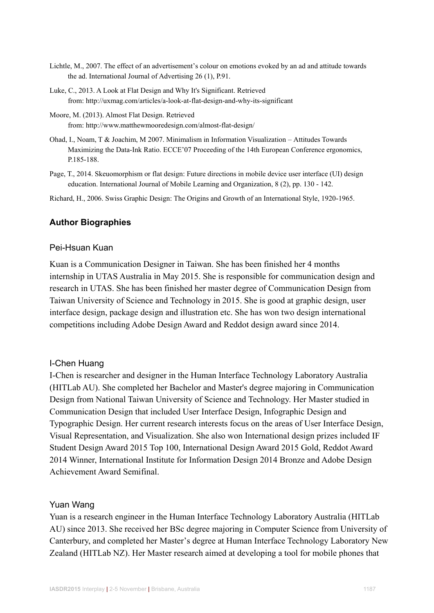- Lichtle, M., 2007. The effect of an advertisement's colour on emotions evoked by an ad and attitude towards the ad. International Journal of Advertising 26 (1), P.91.
- Luke, C., 2013. A Look at Flat Design and Why It's Significant. Retrieved from: http://uxmag.com/articles/a-look-at-flat-design-and-why-its-significant
- Moore, M. (2013). Almost Flat Design. Retrieved from: http://www.matthewmooredesign.com/almost-flat-design/
- Ohad, I., Noam, T & Joachim, M 2007. Minimalism in Information Visualization Attitudes Towards Maximizing the Data-Ink Ratio. ECCE'07 Proceeding of the 14th European Conference ergonomics, P.185-188.
- Page, T., 2014. Skeuomorphism or flat design: Future directions in mobile device user interface (UI) design education. International Journal of Mobile Learning and Organization, 8 (2), pp. 130 - 142.

Richard, H., 2006. Swiss Graphic Design: The Origins and Growth of an International Style, 1920-1965.

#### **Author Biographies**

#### Pei-Hsuan Kuan

Kuan is a Communication Designer in Taiwan. She has been finished her 4 months internship in UTAS Australia in May 2015. She is responsible for communication design and research in UTAS. She has been finished her master degree of Communication Design from Taiwan University of Science and Technology in 2015. She is good at graphic design, user interface design, package design and illustration etc. She has won two design international competitions including Adobe Design Award and Reddot design award since 2014.

#### I-Chen Huang

I-Chen is researcher and designer in the Human Interface Technology Laboratory Australia (HITLab AU). She completed her Bachelor and Master's degree majoring in Communication Design from National Taiwan University of Science and Technology. Her Master studied in Communication Design that included User Interface Design, Infographic Design and Typographic Design. Her current research interests focus on the areas of User Interface Design, Visual Representation, and Visualization. She also won International design prizes included IF Student Design Award 2015 Top 100, International Design Award 2015 Gold, Reddot Award 2014 Winner, International Institute for Information Design 2014 Bronze and Adobe Design Achievement Award Semifinal.

#### Yuan Wang

Yuan is a research engineer in the Human Interface Technology Laboratory Australia (HITLab AU) since 2013. She received her BSc degree majoring in Computer Science from University of Canterbury, and completed her Master's degree at Human Interface Technology Laboratory New Zealand (HITLab NZ). Her Master research aimed at developing a tool for mobile phones that